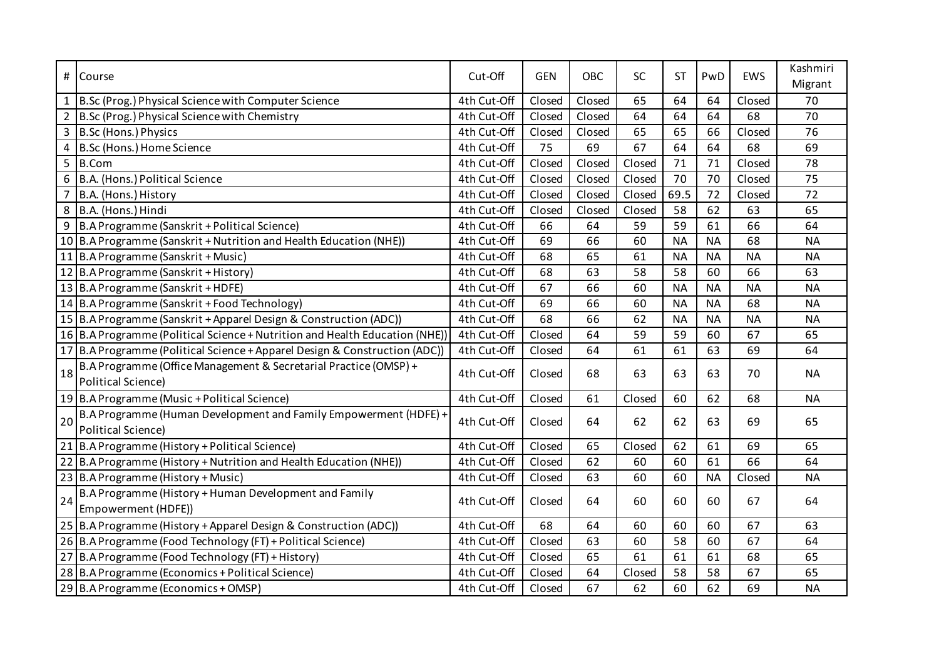| #              | Course                                                                      | Cut-Off     | <b>GEN</b> | OBC    | <b>SC</b> | <b>ST</b> | PwD       | EWS       | Kashmiri  |
|----------------|-----------------------------------------------------------------------------|-------------|------------|--------|-----------|-----------|-----------|-----------|-----------|
|                |                                                                             |             |            |        |           |           |           |           | Migrant   |
| $\mathbf{1}$   | B.Sc (Prog.) Physical Science with Computer Science                         | 4th Cut-Off | Closed     | Closed | 65        | 64        | 64        | Closed    | 70        |
| $2^{\circ}$    | B.Sc (Prog.) Physical Science with Chemistry                                | 4th Cut-Off | Closed     | Closed | 64        | 64        | 64        | 68        | 70        |
| $\overline{3}$ | B.Sc (Hons.) Physics                                                        | 4th Cut-Off | Closed     | Closed | 65        | 65        | 66        | Closed    | 76        |
| 4              | B.Sc (Hons.) Home Science                                                   | 4th Cut-Off | 75         | 69     | 67        | 64        | 64        | 68        | 69        |
| 5              | B.Com                                                                       | 4th Cut-Off | Closed     | Closed | Closed    | 71        | 71        | Closed    | 78        |
| 6              | B.A. (Hons.) Political Science                                              | 4th Cut-Off | Closed     | Closed | Closed    | 70        | 70        | Closed    | 75        |
| $\overline{7}$ | B.A. (Hons.) History                                                        | 4th Cut-Off | Closed     | Closed | Closed    | 69.5      | 72        | Closed    | 72        |
| 8              | B.A. (Hons.) Hindi                                                          | 4th Cut-Off | Closed     | Closed | Closed    | 58        | 62        | 63        | 65        |
| 9              | B.A Programme (Sanskrit + Political Science)                                | 4th Cut-Off | 66         | 64     | 59        | 59        | 61        | 66        | 64        |
|                | 10 B.A Programme (Sanskrit + Nutrition and Health Education (NHE))          | 4th Cut-Off | 69         | 66     | 60        | <b>NA</b> | <b>NA</b> | 68        | <b>NA</b> |
|                | 11 B.A Programme (Sanskrit + Music)                                         | 4th Cut-Off | 68         | 65     | 61        | <b>NA</b> | <b>NA</b> | <b>NA</b> | <b>NA</b> |
|                | 12 B.A Programme (Sanskrit + History)                                       | 4th Cut-Off | 68         | 63     | 58        | 58        | 60        | 66        | 63        |
|                | 13 B.A Programme (Sanskrit + HDFE)                                          | 4th Cut-Off | 67         | 66     | 60        | <b>NA</b> | <b>NA</b> | <b>NA</b> | <b>NA</b> |
|                | 14 B.A Programme (Sanskrit + Food Technology)                               | 4th Cut-Off | 69         | 66     | 60        | <b>NA</b> | <b>NA</b> | 68        | <b>NA</b> |
|                | 15 B.A Programme (Sanskrit + Apparel Design & Construction (ADC))           | 4th Cut-Off | 68         | 66     | 62        | <b>NA</b> | <b>NA</b> | <b>NA</b> | <b>NA</b> |
|                | 16 B.A Programme (Political Science + Nutrition and Health Education (NHE)) | 4th Cut-Off | Closed     | 64     | 59        | 59        | 60        | 67        | 65        |
|                | 17 B.A Programme (Political Science + Apparel Design & Construction (ADC))  | 4th Cut-Off | Closed     | 64     | 61        | 61        | 63        | 69        | 64        |
| 18             | B.A Programme (Office Management & Secretarial Practice (OMSP) +            | 4th Cut-Off | Closed     | 68     | 63        | 63        | 63        | 70        | <b>NA</b> |
|                | <b>Political Science)</b>                                                   |             |            |        |           |           |           |           |           |
|                | 19 B.A Programme (Music + Political Science)                                | 4th Cut-Off | Closed     | 61     | Closed    | 60        | 62        | 68        | <b>NA</b> |
| 20             | B.A Programme (Human Development and Family Empowerment (HDFE) +            | 4th Cut-Off | Closed     | 64     | 62        | 62        | 63        | 69        | 65        |
|                | <b>Political Science)</b>                                                   |             |            |        |           |           |           |           |           |
|                | 21 B.A Programme (History + Political Science)                              | 4th Cut-Off | Closed     | 65     | Closed    | 62        | 61        | 69        | 65        |
|                | 22 B.A Programme (History + Nutrition and Health Education (NHE))           | 4th Cut-Off | Closed     | 62     | 60        | 60        | 61        | 66        | 64        |
|                | 23 B.A Programme (History + Music)                                          | 4th Cut-Off | Closed     | 63     | 60        | 60        | <b>NA</b> | Closed    | <b>NA</b> |
| 24             | B.A Programme (History + Human Development and Family                       | 4th Cut-Off | Closed     | 64     | 60        | 60        | 60        | 67        | 64        |
|                | Empowerment (HDFE))                                                         |             |            |        |           |           |           |           |           |
|                | 25 B.A Programme (History + Apparel Design & Construction (ADC))            | 4th Cut-Off | 68         | 64     | 60        | 60        | 60        | 67        | 63        |
|                | 26 B.A Programme (Food Technology (FT) + Political Science)                 | 4th Cut-Off | Closed     | 63     | 60        | 58        | 60        | 67        | 64        |
| 27             | B.A Programme (Food Technology (FT) + History)                              | 4th Cut-Off | Closed     | 65     | 61        | 61        | 61        | 68        | 65        |
|                | 28 B.A Programme (Economics + Political Science)                            | 4th Cut-Off | Closed     | 64     | Closed    | 58        | 58        | 67        | 65        |
|                | 29 B.A Programme (Economics + OMSP)                                         | 4th Cut-Off | Closed     | 67     | 62        | 60        | 62        | 69        | <b>NA</b> |